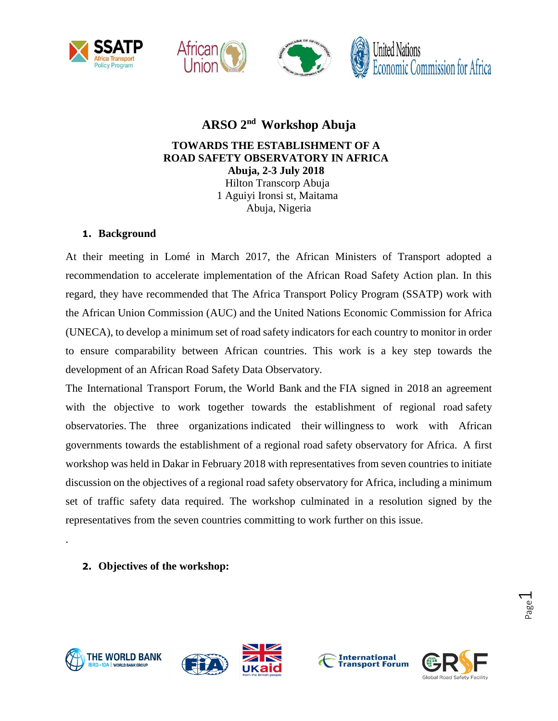







# **ARSO 2 nd Workshop Abuja**

## **TOWARDS THE ESTABLISHMENT OF A ROAD SAFETY OBSERVATORY IN AFRICA Abuja, 2-3 July 2018**

Hilton Transcorp Abuja 1 Aguiyi Ironsi st, Maitama Abuja, Nigeria

## **1. Background**

At their meeting in Lomé in March 2017, the African Ministers of Transport adopted a recommendation to accelerate implementation of the African Road Safety Action plan. In this regard, they have recommended that The Africa Transport Policy Program (SSATP) work with the African Union Commission (AUC) and the United Nations Economic Commission for Africa (UNECA), to develop a minimum set of road safety indicators for each country to monitor in order to ensure comparability between African countries. This work is a key step towards the development of an African Road Safety Data Observatory.

The International Transport Forum, the World Bank and the FIA signed in 2018 an agreement with the objective to work together towards the establishment of regional road safety observatories. The three organizations indicated their willingness to work with African governments towards the establishment of a regional road safety observatory for Africa. A first workshop was held in Dakar in February 2018 with representatives from seven countries to initiate discussion on the objectives of a regional road safety observatory for Africa, including a minimum set of traffic safety data required. The workshop culminated in a resolution signed by the representatives from the seven countries committing to work further on this issue.

**2. Objectives of the workshop:**



.





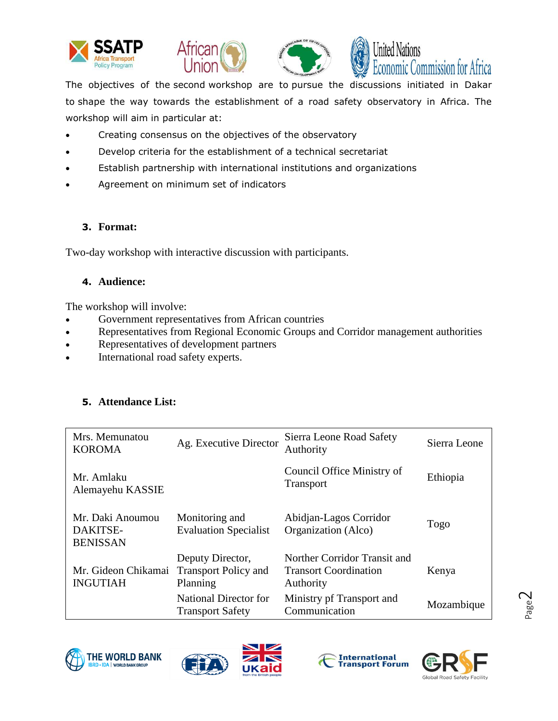







J The objectives of the second workshop are to pursue the discussions initiated in Dakar to shape the way towards the establishment of a road safety observatory in Africa. The workshop will aim in particular at:

- Creating consensus on the objectives of the observatory
- Develop criteria for the establishment of a technical secretariat
- Establish partnership with international institutions and organizations
- Agreement on minimum set of indicators

### **3. Format:**

Two-day workshop with interactive discussion with participants.

### **4. Audience:**

The workshop will involve:

- Government representatives from African countries
- Representatives from Regional Economic Groups and Corridor management authorities
- Representatives of development partners
- International road safety experts.

## **5. Attendance List:**

| Mrs. Memunatou<br><b>KOROMA</b>                 | Ag. Executive Director                                      | Sierra Leone Road Safety<br>Authority                                     | Sierra Leone |
|-------------------------------------------------|-------------------------------------------------------------|---------------------------------------------------------------------------|--------------|
| Mr. Amlaku<br>Alemayehu KASSIE                  |                                                             | Council Office Ministry of<br><b>Transport</b>                            | Ethiopia     |
| Mr. Daki Anoumou<br>DAKITSE-<br><b>BENISSAN</b> | Monitoring and<br><b>Evaluation Specialist</b>              | Abidjan-Lagos Corridor<br>Organization (Alco)                             | Togo         |
| Mr. Gideon Chikamai<br><b>INGUTIAH</b>          | Deputy Director,<br><b>Transport Policy and</b><br>Planning | Norther Corridor Transit and<br><b>Transort Coordination</b><br>Authority | Kenya        |
|                                                 | National Director for<br><b>Transport Safety</b>            | Ministry pf Transport and<br>Communication                                | Mozambique   |







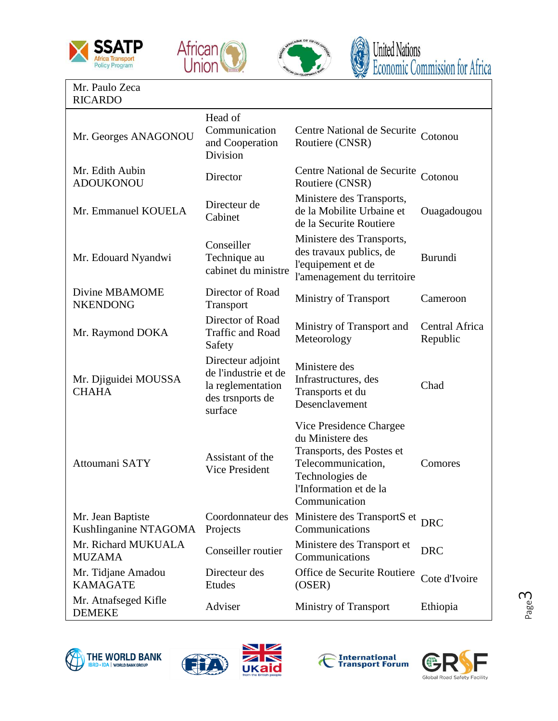



l



### Mr. Paulo Zeca RICARDO

| Mr. Georges ANAGONOU                       | Head of<br>Communication<br>and Cooperation<br>Division                                       | Centre National de Securite<br>Routiere (CNSR)                                                                                                               | Cotonou                    |
|--------------------------------------------|-----------------------------------------------------------------------------------------------|--------------------------------------------------------------------------------------------------------------------------------------------------------------|----------------------------|
| Mr. Edith Aubin<br><b>ADOUKONOU</b>        | Director                                                                                      | Centre National de Securite<br>Routiere (CNSR)                                                                                                               | Cotonou                    |
| Mr. Emmanuel KOUELA                        | Directeur de<br>Cabinet                                                                       | Ministere des Transports,<br>de la Mobilite Urbaine et<br>de la Securite Routiere                                                                            | Ouagadougou                |
| Mr. Edouard Nyandwi                        | Conseiller<br>Technique au<br>cabinet du ministre                                             | Ministere des Transports,<br>des travaux publics, de<br>l'equipement et de<br>l'amenagement du territoire                                                    | Burundi                    |
| Divine MBAMOME<br><b>NKENDONG</b>          | Director of Road<br>Transport                                                                 | Ministry of Transport                                                                                                                                        | Cameroon                   |
| Mr. Raymond DOKA                           | Director of Road<br><b>Traffic and Road</b><br>Safety                                         | Ministry of Transport and<br>Meteorology                                                                                                                     | Central Africa<br>Republic |
| Mr. Djiguidei MOUSSA<br><b>CHAHA</b>       | Directeur adjoint<br>de l'industrie et de<br>la reglementation<br>des trsnports de<br>surface | Ministere des<br>Infrastructures, des<br>Transports et du<br>Desenclavement                                                                                  | Chad                       |
| Attoumani SATY                             | Assistant of the<br><b>Vice President</b>                                                     | Vice Presidence Chargee<br>du Ministere des<br>Transports, des Postes et<br>Telecommunication,<br>Technologies de<br>l'Information et de la<br>Communication | Comores                    |
| Mr. Jean Baptiste<br>Kushlinganine NTAGOMA | Projects                                                                                      | Coordonnateur des Ministere des TransportS et<br>Communications                                                                                              | <b>DRC</b>                 |
| Mr. Richard MUKUALA<br><b>MUZAMA</b>       | Conseiller routier                                                                            | Ministere des Transport et<br>Communications                                                                                                                 | <b>DRC</b>                 |
| Mr. Tidjane Amadou<br><b>KAMAGATE</b>      | Directeur des<br>Etudes                                                                       | Office de Securite Routiere<br>(OSER)                                                                                                                        | Cote d'Ivoire              |
| Mr. Atnafseged Kifle<br><b>DEMEKE</b>      | Adviser                                                                                       | Ministry of Transport                                                                                                                                        | Ethiopia                   |
|                                            |                                                                                               |                                                                                                                                                              |                            |







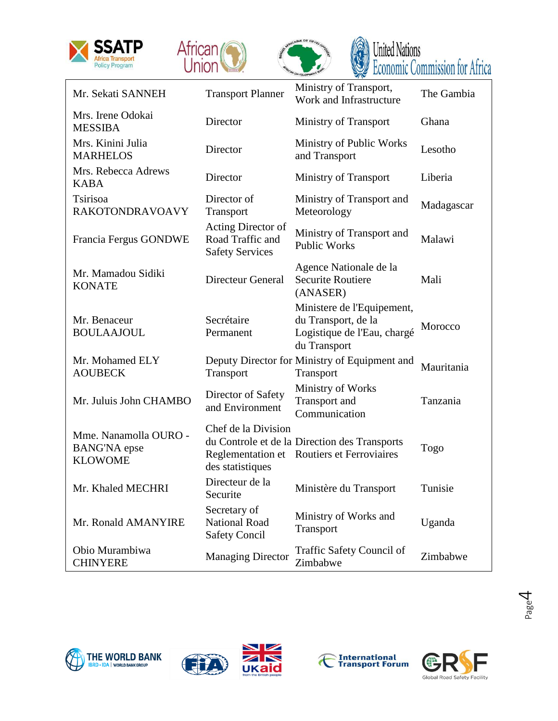







|                                                                |                                                                  | VOEVELOPMENT<br><b>EXAMPLE DEVILUITIE COMMITTOUR LIST</b>                                        |            |
|----------------------------------------------------------------|------------------------------------------------------------------|--------------------------------------------------------------------------------------------------|------------|
| Mr. Sekati SANNEH                                              | <b>Transport Planner</b>                                         | Ministry of Transport,<br>Work and Infrastructure                                                | The Gambia |
| Mrs. Irene Odokai<br><b>MESSIBA</b>                            | Director                                                         | Ministry of Transport                                                                            | Ghana      |
| Mrs. Kinini Julia<br><b>MARHELOS</b>                           | Director                                                         | Ministry of Public Works<br>and Transport                                                        | Lesotho    |
| Mrs. Rebecca Adrews<br><b>KABA</b>                             | Director                                                         | <b>Ministry of Transport</b>                                                                     | Liberia    |
| Tsirisoa<br>RAKOTONDRAVOAVY                                    | Director of<br>Transport                                         | Ministry of Transport and<br>Meteorology                                                         | Madagascar |
| Francia Fergus GONDWE                                          | Acting Director of<br>Road Traffic and<br><b>Safety Services</b> | Ministry of Transport and<br><b>Public Works</b>                                                 | Malawi     |
| Mr. Mamadou Sidiki<br><b>KONATE</b>                            | <b>Directeur General</b>                                         | Agence Nationale de la<br><b>Securite Routiere</b><br>(ANASER)                                   | Mali       |
| Mr. Benaceur<br><b>BOULAAJOUL</b>                              | Secrétaire<br>Permanent                                          | Ministere de l'Equipement,<br>du Transport, de la<br>Logistique de l'Eau, chargé<br>du Transport | Morocco    |
| Mr. Mohamed ELY<br><b>AOUBECK</b>                              | Transport                                                        | Deputy Director for Ministry of Equipment and<br>Transport                                       | Mauritania |
| Mr. Juluis John CHAMBO                                         | Director of Safety<br>and Environment                            | Ministry of Works<br>Transport and<br>Communication                                              | Tanzania   |
| Mme. Nanamolla OURO -<br><b>BANG'NA</b> epse<br><b>KLOWOME</b> | Chef de la Division<br>des statistiques                          | du Controle et de la Direction des Transports<br>Reglementation et Routiers et Ferroviaires      | Togo       |
| Mr. Khaled MECHRI                                              | Directeur de la<br>Securite                                      | Ministère du Transport                                                                           | Tunisie    |
| Mr. Ronald AMANYIRE                                            | Secretary of<br>National Road<br><b>Safety Concil</b>            | Ministry of Works and<br>Transport                                                               | Uganda     |
| Obio Murambiwa<br><b>CHINYERE</b>                              | <b>Managing Director</b>                                         | Traffic Safety Council of<br>Zimbabwe                                                            | Zimbabwe   |